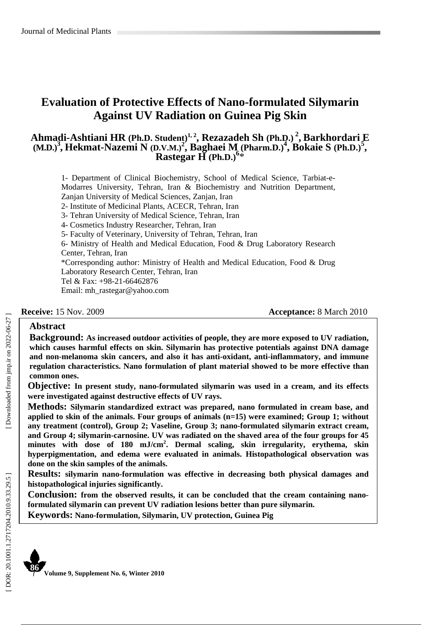# **Evaluation of Protective Effects of Nano-formulated Silymarin Against UV Radiation on Guinea Pig Skin**

## **Ahmadi-Ashtiani HR (Ph.D. Student)1, 2, Rezazadeh Sh (Ph.D.) 2, Barkhordari E**   $(M.D.)^3$ , Hekmat-Nazemi N  $(D.V.M.)^2$ , Baghaei M (Pharm.D.)<sup>4</sup>, Bokaie S (Ph.D.)<sup>5</sup>, **Rastegar H (Ph.D.) 6** \*

1- Department of Clinical Biochemistry, School of Medical Science, Tarbiat-e-Modarres University, Tehran, Iran & Biochemistry and Nutrition Department, Zanjan University of Medical Sciences, Zanjan, Iran 2- Institute of Medicinal Plants, ACECR, Tehran, Iran 3- Tehran University of Medical Science, Tehran, Iran 4- Cosmetics Industry Researcher, Tehran, Iran 5- Faculty of Veterinary, University of Tehran, Tehran, Iran 6- Ministry of Health and Medical Education, Food & Drug Laboratory Research Center, Tehran, Iran \*Corresponding author: Ministry of Health and Medical Education, Food & Drug Laboratory Research Center, Tehran, Iran Tel & Fax: +98-21-66462876 Email: mh\_rastegar@yahoo.com

**Receive:** 15 Nov. 2009 **Acceptance:** 8 March 2010

### **Abstract**

**Background: As increased outdoor activities of people, they are more exposed to UV radiation, which causes harmful effects on skin. Silymarin has protective potentials against DNA damage and non-melanoma skin cancers, and also it has anti-oxidant, anti-inflammatory, and immune regulation characteristics. Nano formulation of plant material showed to be more effective than common ones.**

**Objective: In present study, nano-formulated silymarin was used in a cream, and its effects were investigated against destructive effects of UV rays.**

**Methods: Silymarin standardized extract was prepared, nano formulated in cream base, and applied to skin of the animals. Four groups of animals (n=15) were examined; Group 1; without any treatment (control), Group 2; Vaseline, Group 3; nano-formulated silymarin extract cream, and Group 4; silymarin-carnosine. UV was radiated on the shaved area of the four groups for 45 minutes with dose of 180 mJ/cm 2 . Dermal scaling, skin irregularity, erythema, skin hyperpigmentation, and edema were evaluated in animals. Histopathological observation was done on the skin samples of the animals.**

**Results: silymarin nano-formulation was effective in decreasing both physical damages and histopathological injuries significantly.**

**Conclusion: from the observed results, it can be concluded that the cream containing nanoformulated silymarin can prevent UV radiation lesions better than pure silymarin.** 

**Keywords: Nano-formulation, Silymarin, UV protection, Guinea Pig** 

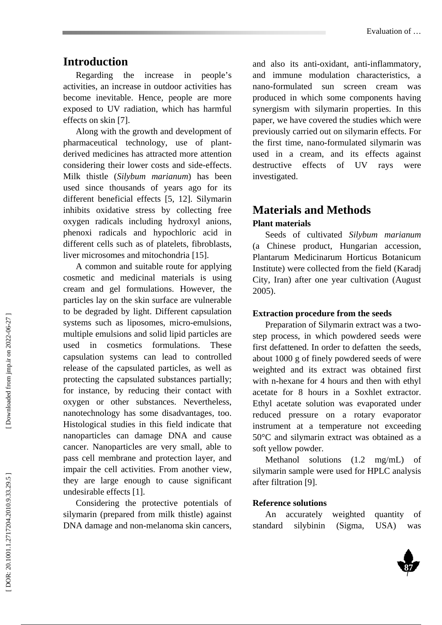# **Introduction**

Regarding the increase in people's activities, an increase in outdoor activities has become inevitable. Hence, people are more exposed to UV radiation, which has harmful effects on skin [7].

Along with the growth and development of pharmaceutical technology, use of plantderived medicines has attracted more attention considering their lower costs and side-effects. Milk thistle (*Silybum marianum*) has been used since thousands of years ago for its different beneficial effects [5, 12]. Silymarin inhibits oxidative stress by collecting free oxygen radicals including hydroxyl anions, phenoxi radicals and hypochloric acid in different cells such as of platelets, fibroblasts, liver microsomes and mitochondria [15].

A common and suitable route for applying cosmetic and medicinal materials is using cream and gel formulations. However, the particles lay on the skin surface are vulnerable to be degraded by light. Different capsulation systems such as liposomes, micro-emulsions, multiple emulsions and solid lipid particles are used in cosmetics formulations. These capsulation systems can lead to controlled release of the capsulated particles, as well as protecting the capsulated substances partially; for instance, by reducing their contact with oxygen or other substances. Nevertheless, nanotechnology has some disadvantages, too. Histological studies in this field indicate that nanoparticles can damage DNA and cause cancer. Nanoparticles are very small, able to pass cell membrane and protection layer, and impair the cell activities. From another view, they are large enough to cause significant undesirable effects [1].

Considering the protective potentials of silymarin (prepared from milk thistle) against DNA damage and non-melanoma skin cancers,

and also its anti-oxidant, anti-inflammatory, and immune modulation characteristics, a nano-formulated sun screen cream was produced in which some components having synergism with silymarin properties. In this paper, we have covered the studies which were previously carried out on silymarin effects. For the first time, nano-formulated silymarin was used in a cream, and its effects against destructive effects of UV rays were investigated.

# **Materials and Methods Plant materials**

Seeds of cultivated *Silybum marianum*  (a Chinese product, Hungarian accession, Plantarum Medicinarum Horticus Botanicum Institute) were collected from the field (Karadj City, Iran) after one year cultivation (August 2005).

#### **Extraction procedure from the seeds**

Preparation of Silymarin extract was a twostep process, in which powdered seeds were first defattened. In order to defatten the seeds, about 1000 g of finely powdered seeds of were weighted and its extract was obtained first with n-hexane for 4 hours and then with ethyl acetate for 8 hours in a Soxhlet extractor. Ethyl acetate solution was evaporated under reduced pressure on a rotary evaporator instrument at a temperature not exceeding 50°C and silymarin extract was obtained as a soft yellow powder.

Methanol solutions (1.2 mg/mL) of silymarin sample were used for HPLC analysis after filtration [9].

## **Reference solutions**

An accurately weighted quantity of standard silybinin (Sigma, USA) was

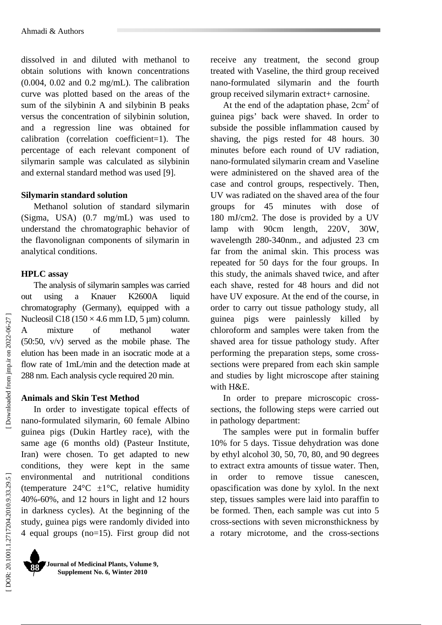dissolved in and diluted with methanol to obtain solutions with known concentrations (0.004, 0.02 and 0.2 mg/mL). The calibration curve was plotted based on the areas of the sum of the silybinin A and silybinin B peaks versus the concentration of silybinin solution, and a regression line was obtained for calibration (correlation coefficient=1). The percentage of each relevant component of silymarin sample was calculated as silybinin and external standard method was used [9].

#### **Silymarin standard solution**

Methanol solution of standard silymarin (Sigma, USA) (0.7 mg/mL) was used to understand the chromatographic behavior of the flavonolignan components of silymarin in analytical conditions.

### **HPLC assay**

The analysis of silymarin samples was carried out using a Knauer K2600A liquid chromatography (Germany), equipped with a Nucleosil C18 (150  $\times$  4.6 mm I.D, 5 µm) column. A mixture of methanol water (50:50, v/v) served as the mobile phase. The elution has been made in an isocratic mode at a flow rate of 1mL/min and the detection made at 288 nm. Each analysis cycle required 20 min.

### **Animals and Skin Test Method**

In order to investigate topical effects of nano-formulated silymarin, 60 female Albino guinea pigs (Dukin Hartley race), with the same age (6 months old) (Pasteur Institute, Iran) were chosen. To get adapted to new conditions, they were kept in the same environmental and nutritional conditions (temperature  $24^{\circ}\text{C}$   $\pm 1^{\circ}\text{C}$ , relative humidity 40%-60%, and 12 hours in light and 12 hours in darkness cycles). At the beginning of the study, guinea pigs were randomly divided into 4 equal groups (no=15). First group did not receive any treatment, the second group treated with Vaseline, the third group received nano-formulated silymarin and the fourth group received silymarin extract+ carnosine.

At the end of the adaptation phase,  $2 \text{cm}^2$  of guinea pigs' back were shaved. In order to subside the possible inflammation caused by shaving, the pigs rested for 48 hours. 30 minutes before each round of UV radiation, nano-formulated silymarin cream and Vaseline were administered on the shaved area of the case and control groups, respectively. Then, UV was radiated on the shaved area of the four groups for 45 minutes with dose of 180 mJ/cm2. The dose is provided by a UV lamp with 90cm length, 220V, 30W, wavelength 280-340nm., and adjusted 23 cm far from the animal skin. This process was repeated for 50 days for the four groups. In this study, the animals shaved twice, and after each shave, rested for 48 hours and did not have UV exposure. At the end of the course, in order to carry out tissue pathology study, all guinea pigs were painlessly killed by chloroform and samples were taken from the shaved area for tissue pathology study. After performing the preparation steps, some crosssections were prepared from each skin sample and studies by light microscope after staining with H&E.

In order to prepare microscopic crosssections, the following steps were carried out in pathology department:

The samples were put in formalin buffer 10% for 5 days. Tissue dehydration was done by ethyl alcohol 30, 50, 70, 80, and 90 degrees to extract extra amounts of tissue water. Then, in order to remove tissue canescen, opascification was done by xylol. In the next step, tissues samples were laid into paraffin to be formed. Then, each sample was cut into 5 cross-sections with seven micronsthickness by a rotary microtome, and the cross-sections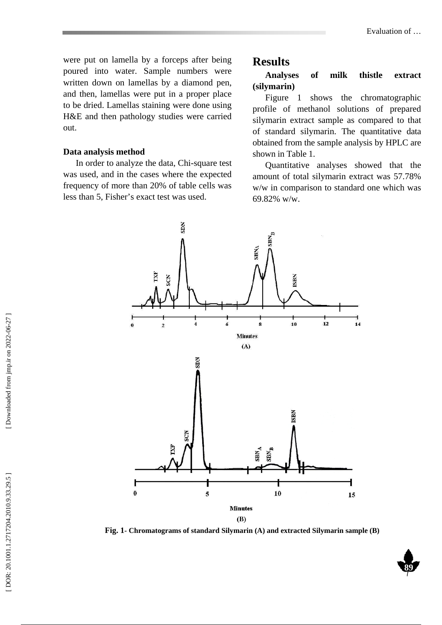were put on lamella by a forceps after being poured into water. Sample numbers were written down on lamellas by a diamond pen, and then, lamellas were put in a proper place to be dried. Lamellas staining were done using H&E and then pathology studies were carried out.

#### **Data analysis method**

In order to analyze the data, Chi-square test was used, and in the cases where the expected frequency of more than 20% of table cells was less than 5, Fisher's exact test was used.

## **Results**

**Analyses of milk thistle extract (silymarin)** 

Figure 1 shows the chromatographic profile of methanol solutions of prepared silymarin extract sample as compared to that of standard silymarin. The quantitative data obtained from the sample analysis by HPLC are shown in Table 1.

Quantitative analyses showed that the amount of total silymarin extract was 57.78% w/w in comparison to standard one which was 69.82% w/w.



**Fig. 1- Chromatograms of standard Silymarin (A) and extracted Silymarin sample (B)** 

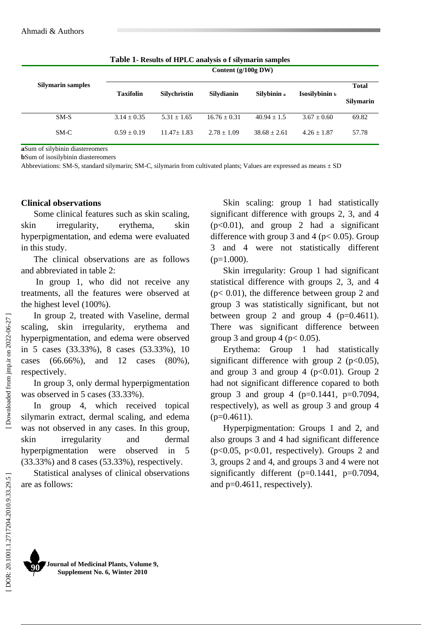| <b>Table 1. Results of III LC analysis 0.1 shymallii samples</b> |                       |                 |                   |                |                |                                  |  |
|------------------------------------------------------------------|-----------------------|-----------------|-------------------|----------------|----------------|----------------------------------|--|
|                                                                  | Content $(g/100g$ DW) |                 |                   |                |                |                                  |  |
| <b>Silymarin samples</b>                                         | <b>Taxifolin</b>      | Silvchristin    | <b>Silvdianin</b> | Silybinin a    | Isosilybinin ь | <b>Total</b><br><b>Silymarin</b> |  |
| $SM-S$                                                           | $3.14 \pm 0.35$       | $5.31 \pm 1.65$ | $16.76 + 0.31$    | $40.94 + 1.5$  | $3.67 + 0.60$  | 69.82                            |  |
| $SM-C$                                                           | $0.59 + 0.19$         | $11.47 + 1.83$  | $2.78 + 1.09$     | $38.68 + 2.61$ | $4.26 + 1.87$  | 57.78                            |  |

**Table 1- Results of HPLC analysis o f silymarin samples** 

**a**Sum of silybinin diastereomers

**b**Sum of isosilybinin diastereomers

Abbreviations: SM-S, standard silymarin; SM-C, silymarin from cultivated plants; Values are expressed as means  $\pm$  SD

#### **Clinical observations**

Some clinical features such as skin scaling, skin irregularity, erythema, skin hyperpigmentation, and edema were evaluated in this study.

The clinical observations are as follows and abbreviated in table 2:

 In group 1, who did not receive any treatments, all the features were observed at the highest level (100%).

In group 2, treated with Vaseline, dermal scaling, skin irregularity, erythema and hyperpigmentation, and edema were observed in 5 cases (33.33%), 8 cases (53.33%), 10 cases (66.66%), and 12 cases (80%), respectively.

In group 3, only dermal hyperpigmentation was observed in 5 cases (33.33%).

In group 4, which received topical silymarin extract, dermal scaling, and edema was not observed in any cases. In this group, skin irregularity and dermal hyperpigmentation were observed in 5 (33.33%) and 8 cases (53.33%), respectively.

Statistical analyses of clinical observations are as follows:

Skin scaling: group 1 had statistically significant difference with groups 2, 3, and 4 (p<0.01), and group 2 had a significant difference with group 3 and 4 ( $p < 0.05$ ). Group 3 and 4 were not statistically different  $(p=1.000)$ .

Skin irregularity: Group 1 had significant statistical difference with groups 2, 3, and 4 (p< 0.01), the difference between group 2 and group 3 was statistically significant, but not between group 2 and group 4 ( $p=0.4611$ ). There was significant difference between group 3 and group 4 ( $p < 0.05$ ).

Erythema: Group 1 had statistically significant difference with group 2 ( $p<0.05$ ), and group 3 and group 4 ( $p<0.01$ ). Group 2 had not significant difference copared to both group 3 and group 4 ( $p=0.1441$ ,  $p=0.7094$ , respectively), as well as group 3 and group 4  $(p=0.4611)$ .

Hyperpigmentation: Groups 1 and 2, and also groups 3 and 4 had significant difference  $(p<0.05, p<0.01,$  respectively). Groups 2 and 3, groups 2 and 4, and groups 3 and 4 were not significantly different (p=0.1441, p=0.7094, and  $p=0.4611$ , respectively).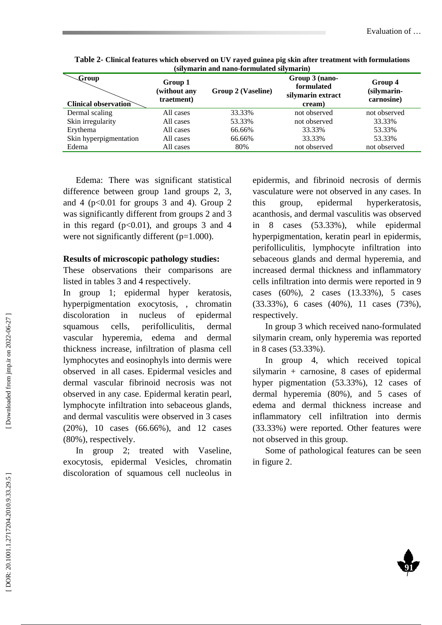| $\sim$ Group<br><b>Clinical observation</b> | Group 1<br>(without any<br>traetment) | Group 2 (Vaseline) | Group 3 (nano-<br>formulated<br>silymarin extract<br>cream) | Group 4<br>(silymarin-<br>carnosine) |  |  |
|---------------------------------------------|---------------------------------------|--------------------|-------------------------------------------------------------|--------------------------------------|--|--|
| Dermal scaling                              | All cases                             | 33.33%             | not observed                                                | not observed                         |  |  |
| Skin irregularity                           | All cases                             | 53.33%             | not observed                                                | 33.33%                               |  |  |
| Erythema                                    | All cases                             | 66.66%             | 33.33%                                                      | 53.33%                               |  |  |
| Skin hyperpigmentation                      | All cases                             | 66.66%             | 33.33%                                                      | 53.33%                               |  |  |
| Edema                                       | All cases                             | 80%                | not observed                                                | not observed                         |  |  |
|                                             |                                       |                    |                                                             |                                      |  |  |

**Table 2- Clinical features which observed on UV rayed guinea pig skin after treatment with formulations (silymarin and nano-formulated silymarin)** 

Edema: There was significant statistical difference between group 1and groups 2, 3, and 4 ( $p<0.01$  for groups 3 and 4). Group 2 was significantly different from groups 2 and 3 in this regard  $(p<0.01)$ , and groups 3 and 4 were not significantly different  $(p=1.000)$ .

#### **Results of microscopic pathology studies:**

These observations their comparisons are listed in tables 3 and 4 respectively.

In group 1; epidermal hyper keratosis, hyperpigmentation exocytosis, , chromatin discoloration in nucleus of epidermal squamous cells, perifolliculitis, dermal vascular hyperemia, edema and dermal thickness increase, infiltration of plasma cell lymphocytes and eosinophyls into dermis were observed in all cases. Epidermal vesicles and dermal vascular fibrinoid necrosis was not observed in any case. Epidermal keratin pearl, lymphocyte infiltration into sebaceous glands, and dermal vasculitis were observed in 3 cases (20%), 10 cases (66.66%), and 12 cases (80%), respectively.

In group 2; treated with Vaseline, exocytosis, epidermal Vesicles, chromatin discoloration of squamous cell nucleolus in

epidermis, and fibrinoid necrosis of dermis vasculature were not observed in any cases. In this group, epidermal hyperkeratosis, acanthosis, and dermal vasculitis was observed in 8 cases (53.33%), while epidermal hyperpigmentation, keratin pearl in epidermis, perifolliculitis, lymphocyte infiltration into sebaceous glands and dermal hyperemia, and increased dermal thickness and inflammatory cells infiltration into dermis were reported in 9 cases (60%), 2 cases (13.33%), 5 cases (33.33%), 6 cases (40%), 11 cases (73%), respectively.

In group 3 which received nano-formulated silymarin cream, only hyperemia was reported in 8 cases (53.33%).

In group 4, which received topical silymarin + carnosine, 8 cases of epidermal hyper pigmentation (53.33%), 12 cases of dermal hyperemia (80%), and 5 cases of edema and dermal thickness increase and inflammatory cell infiltration into dermis (33.33%) were reported. Other features were not observed in this group.

Some of pathological features can be seen in figure 2.

**91** 

Downloaded from jmp.ir on 2022-06-27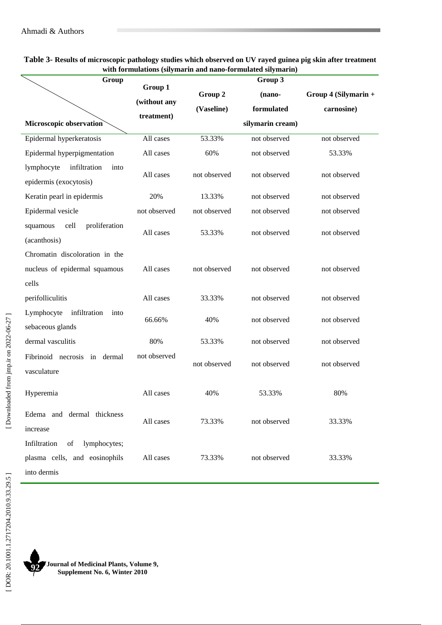| Group                                                                              |              | гипиннопо (энутнигти ини нино тогининной энутнигти) | Group 3          |                        |  |
|------------------------------------------------------------------------------------|--------------|-----------------------------------------------------|------------------|------------------------|--|
|                                                                                    | Group 1      | Group 2                                             | (nano-           | Group $4$ (Silymarin + |  |
|                                                                                    | (without any | (Vaseline)                                          | formulated       | carnosine)             |  |
| Microscopic observation                                                            | treatment)   |                                                     | silymarin cream) |                        |  |
| Epidermal hyperkeratosis                                                           | All cases    | 53.33%                                              | not observed     | not observed           |  |
| Epidermal hyperpigmentation                                                        | All cases    | 60%                                                 | not observed     | 53.33%                 |  |
| lymphocyte<br>infiltration<br>into<br>epidermis (exocytosis)                       | All cases    | not observed                                        | not observed     | not observed           |  |
| Keratin pearl in epidermis                                                         | 20%          | 13.33%                                              | not observed     | not observed           |  |
| Epidermal vesicle                                                                  | not observed | not observed                                        | not observed     | not observed           |  |
| cell<br>proliferation<br>squamous<br>(acanthosis)                                  | All cases    | 53.33%                                              | not observed     | not observed           |  |
| Chromatin discoloration in the                                                     |              |                                                     |                  |                        |  |
| nucleus of epidermal squamous                                                      | All cases    | not observed                                        | not observed     | not observed           |  |
| cells                                                                              |              |                                                     |                  |                        |  |
| perifolliculitis                                                                   | All cases    | 33.33%                                              | not observed     | not observed           |  |
| Lymphocyte<br>infiltration<br>into<br>sebaceous glands                             | 66.66%       | 40%                                                 | not observed     | not observed           |  |
| dermal vasculitis                                                                  | 80%          | 53.33%                                              | not observed     | not observed           |  |
| Fibrinoid necrosis<br>dermal<br>in<br>vasculature                                  | not observed | not observed                                        | not observed     | not observed           |  |
| Hyperemia                                                                          | All cases    | 40%                                                 | 53.33%           | 80%                    |  |
| Edema and dermal thickness<br>increase                                             | All cases    | 73.33%                                              | not observed     | 33.33%                 |  |
| Infiltration<br>of<br>lymphocytes;<br>plasma cells, and eosinophils<br>into dermis | All cases    | 73.33%                                              | not observed     | 33.33%                 |  |

#### **Table 3- Results of microscopic pathology studies which observed on UV rayed guinea pig skin after treatment with formulations (silymarin and nano-formulated silymarin)**

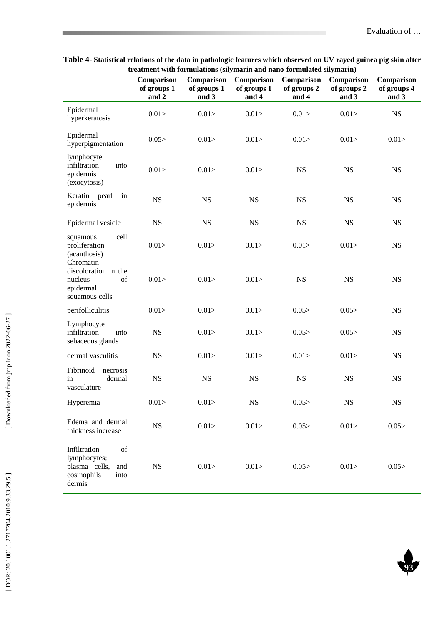| treatment with formulations (silymarin and nano-formulated silymarin)                       |                                    |                                    |                                    |                                    |                                    |                                    |
|---------------------------------------------------------------------------------------------|------------------------------------|------------------------------------|------------------------------------|------------------------------------|------------------------------------|------------------------------------|
|                                                                                             | Comparison<br>of groups 1<br>and 2 | Comparison<br>of groups 1<br>and 3 | Comparison<br>of groups 1<br>and 4 | Comparison<br>of groups 2<br>and 4 | Comparison<br>of groups 2<br>and 3 | Comparison<br>of groups 4<br>and 3 |
| Epidermal<br>hyperkeratosis                                                                 | 0.01                               | 0.01 >                             | 0.01 >                             | 0.01 >                             | 0.01 >                             | <b>NS</b>                          |
| Epidermal<br>hyperpigmentation                                                              | 0.05                               | 0.01 >                             | 0.01 >                             | 0.01 >                             | 0.01 >                             | 0.01 >                             |
| lymphocyte<br>infiltration<br>into<br>epidermis<br>(exocytosis)                             | 0.01 >                             | 0.01                               | 0.01 >                             | <b>NS</b>                          | <b>NS</b>                          | <b>NS</b>                          |
| Keratin pearl<br>in<br>epidermis                                                            | <b>NS</b>                          | <b>NS</b>                          | <b>NS</b>                          | <b>NS</b>                          | <b>NS</b>                          | <b>NS</b>                          |
| Epidermal vesicle                                                                           | <b>NS</b>                          | <b>NS</b>                          | <b>NS</b>                          | <b>NS</b>                          | $_{\rm NS}$                        | <b>NS</b>                          |
| cell<br>squamous<br>proliferation<br>(acanthosis)<br>Chromatin                              | 0.01 >                             | 0.01                               | 0.01                               | 0.01                               | 0.01                               | <b>NS</b>                          |
| discoloration in the<br>nucleus<br>of<br>epidermal<br>squamous cells                        | 0.01 >                             | 0.01 >                             | 0.01 >                             | <b>NS</b>                          | <b>NS</b>                          | <b>NS</b>                          |
| perifolliculitis                                                                            | 0.01 >                             | 0.01                               | 0.01                               | 0.05                               | 0.05                               | <b>NS</b>                          |
| Lymphocyte<br>infiltration<br>into<br>sebaceous glands                                      | <b>NS</b>                          | 0.01 >                             | 0.01 >                             | 0.05                               | 0.05                               | <b>NS</b>                          |
| dermal vasculitis                                                                           | <b>NS</b>                          | 0.01 >                             | 0.01 >                             | 0.01                               | 0.01 >                             | <b>NS</b>                          |
| Fibrinoid<br>necrosis<br>in<br>dermal<br>vasculature                                        | <b>NS</b>                          | $_{\rm NS}$                        | <b>NS</b>                          | <b>NS</b>                          | <b>NS</b>                          | <b>NS</b>                          |
| Hyperemia                                                                                   | 0.01 >                             | 0.01 >                             | $_{\rm NS}$                        | 0.05                               | $_{\rm NS}$                        | $_{\rm NS}$                        |
| Edema and dermal<br>thickness increase                                                      | <b>NS</b>                          | 0.01                               | 0.01                               | 0.05                               | 0.01                               | 0.05                               |
| Infiltration<br>of<br>lymphocytes;<br>plasma cells,<br>and<br>eosinophils<br>into<br>dermis | NS                                 | 0.01                               | 0.01 >                             | 0.05                               | 0.01                               | 0.05                               |

**Table 4- Statistical relations of the data in pathologic features which observed on UV rayed guinea pig skin after treatment with formulations (silymarin and nano-formulated silymarin)** 

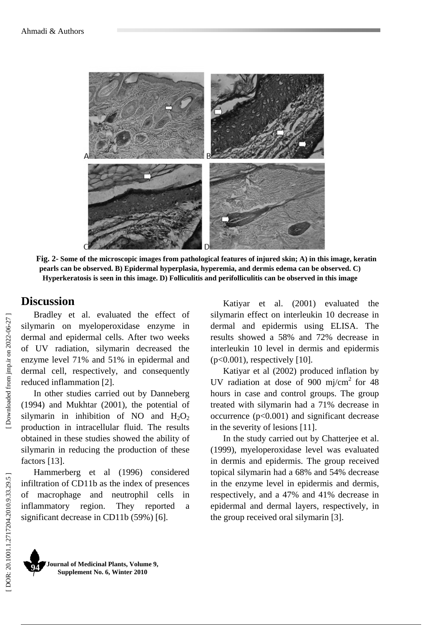

**Fig. 2- Some of the microscopic images from pathological features of injured skin; A) in this image, keratin pearls can be observed. B) Epidermal hyperplasia, hyperemia, and dermis edema can be observed. C) Hyperkeratosis is seen in this image. D) Folliculitis and perifolliculitis can be observed in this image** 

# **Discussion**

Bradley et al. evaluated the effect of silymarin on myeloperoxidase enzyme in dermal and epidermal cells. After two weeks of UV radiation, silymarin decreased the enzyme level 71% and 51% in epidermal and dermal cell, respectively, and consequently reduced inflammation [2].

In other studies carried out by Danneberg (1994) and Mukhtar (2001), the potential of silymarin in inhibition of NO and  $H_2O_2$ production in intracellular fluid. The results obtained in these studies showed the ability of silymarin in reducing the production of these factors [13].

Hammerberg et al (1996) considered infiltration of CD11b as the index of presences of macrophage and neutrophil cells in inflammatory region. They reported a significant decrease in CD11b (59%) [6].

Katiyar et al. (2001) evaluated the silymarin effect on interleukin 10 decrease in dermal and epidermis using ELISA. The results showed a 58% and 72% decrease in interleukin 10 level in dermis and epidermis  $(p<0.001)$ , respectively [10].

Katiyar et al (2002) produced inflation by UV radiation at dose of 900 mj/cm<sup>2</sup> for 48 hours in case and control groups. The group treated with silymarin had a 71% decrease in occurrence (p<0.001) and significant decrease in the severity of lesions [11].

In the study carried out by Chatterjee et al. (1999), myeloperoxidase level was evaluated in dermis and epidermis. The group received topical silymarin had a 68% and 54% decrease in the enzyme level in epidermis and dermis, respectively, and a 47% and 41% decrease in epidermal and dermal layers, respectively, in the group received oral silymarin [3].

Downloaded from jmp.ir on 2022-06-27

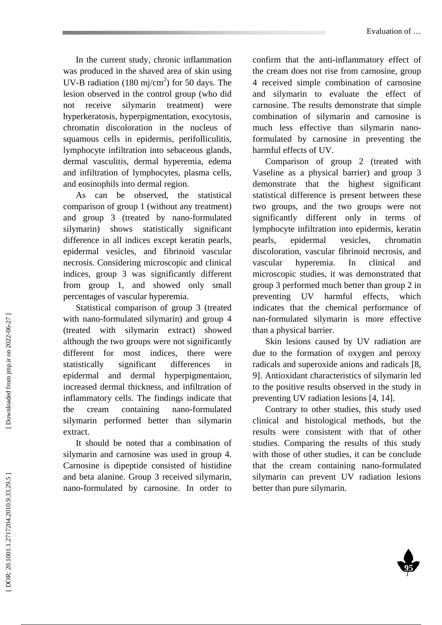In the current study, chronic inflammation was produced in the shaved area of skin using UV-B radiation (180 mj/cm<sup>2</sup>) for 50 days. The lesion observed in the control group (who did not receive silymarin treatment) were hyperkeratosis, hyperpigmentation, exocytosis, chromatin discoloration in the nucleus of squamous cells in epidermis, perifolliculitis, lymphocyte infiltration into sebaceous glands, dermal vasculitis, dermal hyperemia, edema and infiltration of lymphocytes, plasma cells, and eosinophils into dermal region.

As can be observed, the statistical comparison of group 1 (without any treatment) and group 3 (treated by nano-formulated silymarin) shows statistically significant difference in all indices except keratin pearls, epidermal vesicles, and fibrinoid vascular necrosis. Considering microscopic and clinical indices, group 3 was significantly different from group 1, and showed only small percentages of vascular hyperemia.

Statistical comparison of group 3 (treated with nano-formulated silymarin) and group 4 (treated with silymarin extract) showed although the two groups were not significantly different for most indices, there were statistically significant differences in epidermal and dermal hyperpigmentaion, increased dermal thickness, and infiltration of inflammatory cells. The findings indicate that the cream containing nano-formulated silymarin performed better than silymarin extract.

It should be noted that a combination of silymarin and carnosine was used in group 4. Carnosine is dipeptide consisted of histidine and beta alanine. Group 3 received silymarin, nano-formulated by carnosine. In order to

confirm that the anti-inflammatory effect of the cream does not rise from carnosine, group 4 received simple combination of carnosine and silymarin to evaluate the effect of carnosine. The results demonstrate that simple combination of silymarin and carnosine is much less effective than silymarin nanoformulated by carnosine in preventing the harmful effects of UV.

Comparison of group 2 (treated with Vaseline as a physical barrier) and group 3 demonstrate that the highest significant statistical difference is present between these two groups, and the two groups were not significantly different only in terms of lymphocyte infiltration into epidermis, keratin pearls, epidermal vesicles, chromatin discoloration, vascular fibrinoid necrosis, and vascular hyperemia. In clinical and microscopic studies, it was demonstrated that group 3 performed much better than group 2 in preventing UV harmful effects, which indicates that the chemical performance of nan-formulated silymarin is more effective than a physical barrier.

Skin lesions caused by UV radiation are due to the formation of oxygen and peroxy radicals and superoxide anions and radicals [8, 9]. Antioxidant characteristics of silymarin led to the positive results observed in the study in preventing UV radiation lesions [4, 14].

Contrary to other studies, this study used clinical and histological methods, but the results were consistent with that of other studies. Comparing the results of this study with those of other studies, it can be conclude that the cream containing nano-formulated silymarin can prevent UV radiation lesions better than pure silymarin.